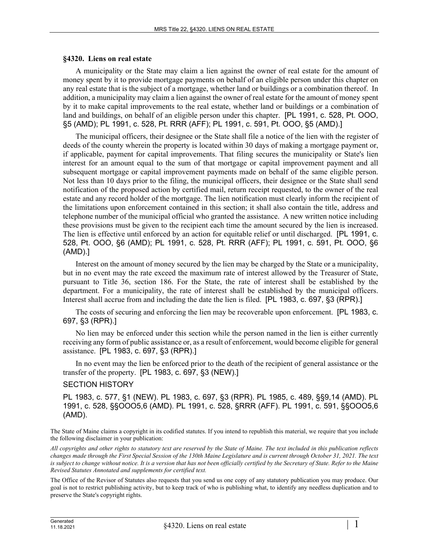## **§4320. Liens on real estate**

A municipality or the State may claim a lien against the owner of real estate for the amount of money spent by it to provide mortgage payments on behalf of an eligible person under this chapter on any real estate that is the subject of a mortgage, whether land or buildings or a combination thereof. In addition, a municipality may claim a lien against the owner of real estate for the amount of money spent by it to make capital improvements to the real estate, whether land or buildings or a combination of land and buildings, on behalf of an eligible person under this chapter. [PL 1991, c. 528, Pt. OOO, §5 (AMD); PL 1991, c. 528, Pt. RRR (AFF); PL 1991, c. 591, Pt. OOO, §5 (AMD).]

The municipal officers, their designee or the State shall file a notice of the lien with the register of deeds of the county wherein the property is located within 30 days of making a mortgage payment or, if applicable, payment for capital improvements. That filing secures the municipality or State's lien interest for an amount equal to the sum of that mortgage or capital improvement payment and all subsequent mortgage or capital improvement payments made on behalf of the same eligible person. Not less than 10 days prior to the filing, the municipal officers, their designee or the State shall send notification of the proposed action by certified mail, return receipt requested, to the owner of the real estate and any record holder of the mortgage. The lien notification must clearly inform the recipient of the limitations upon enforcement contained in this section; it shall also contain the title, address and telephone number of the municipal official who granted the assistance. A new written notice including these provisions must be given to the recipient each time the amount secured by the lien is increased. The lien is effective until enforced by an action for equitable relief or until discharged. [PL 1991, c. 528, Pt. OOO, §6 (AMD); PL 1991, c. 528, Pt. RRR (AFF); PL 1991, c. 591, Pt. OOO, §6 (AMD).]

Interest on the amount of money secured by the lien may be charged by the State or a municipality, but in no event may the rate exceed the maximum rate of interest allowed by the Treasurer of State, pursuant to Title 36, section 186. For the State, the rate of interest shall be established by the department. For a municipality, the rate of interest shall be established by the municipal officers. Interest shall accrue from and including the date the lien is filed. [PL 1983, c. 697, §3 (RPR).]

The costs of securing and enforcing the lien may be recoverable upon enforcement. [PL 1983, c. 697, §3 (RPR).]

No lien may be enforced under this section while the person named in the lien is either currently receiving any form of public assistance or, as a result of enforcement, would become eligible for general assistance. [PL 1983, c. 697, §3 (RPR).]

In no event may the lien be enforced prior to the death of the recipient of general assistance or the transfer of the property. [PL 1983, c. 697, §3 (NEW).]

## SECTION HISTORY

PL 1983, c. 577, §1 (NEW). PL 1983, c. 697, §3 (RPR). PL 1985, c. 489, §§9,14 (AMD). PL 1991, c. 528, §§OOO5,6 (AMD). PL 1991, c. 528, §RRR (AFF). PL 1991, c. 591, §§OOO5,6 (AMD).

The State of Maine claims a copyright in its codified statutes. If you intend to republish this material, we require that you include the following disclaimer in your publication:

*All copyrights and other rights to statutory text are reserved by the State of Maine. The text included in this publication reflects changes made through the First Special Session of the 130th Maine Legislature and is current through October 31, 2021. The text*  is subject to change without notice. It is a version that has not been officially certified by the Secretary of State. Refer to the Maine *Revised Statutes Annotated and supplements for certified text.*

The Office of the Revisor of Statutes also requests that you send us one copy of any statutory publication you may produce. Our goal is not to restrict publishing activity, but to keep track of who is publishing what, to identify any needless duplication and to preserve the State's copyright rights.